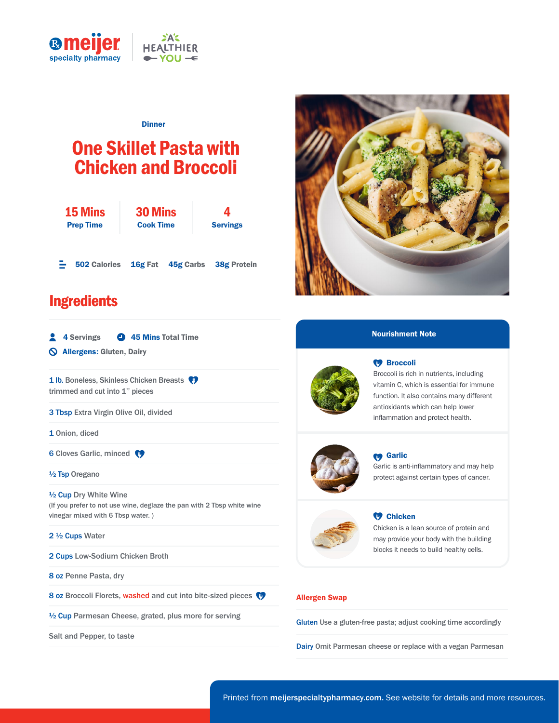

#### **Dinner**

# One Skillet Pasta with Chicken and Broccoli

| <b>15 Mins</b><br><b>Prep Time</b> |                     | <b>30 Mins</b><br><b>Cook Time</b> | <b>Servings</b>               |
|------------------------------------|---------------------|------------------------------------|-------------------------------|
|                                    | <b>502 Calories</b> |                                    | 16g Fat 45g Carbs 38g Protein |

## **Ingredients**

| 2<br><b>4 Servings</b> | 45 Mins Total Time |  |  |
|------------------------|--------------------|--|--|
|------------------------|--------------------|--|--|

Allergens: Gluten, Dairy

1 lb. Boneless, Skinless Chicken Breasts trimmed and cut into 1" pieces

3 Tbsp Extra Virgin Olive Oil, divided

1 Onion, diced

**6 Cloves Garlic, minced** 

½ Tsp Oregano

½ Cup Dry White Wine (If you prefer to not use wine, deglaze the pan with 2 Tbsp white wine vinegar mixed with 6 Tbsp water. )

#### 2 ½ Cups Water

2 Cups Low-Sodium Chicken Broth

8 oz Penne Pasta, dry

8 oz Broccoli Florets, washed and cut into bite-sized pieces

½ Cup Parmesan Cheese, grated, plus more for serving

Salt and Pepper, to taste



#### Nourishment Note



### **W** Broccoli

Broccoli is rich in nutrients, including vitamin C, which is essential for immune function. It also contains many different antioxidants which can help lower inflammation and protect health.



#### **M** Garlic

Garlic is anti-inflammatory and may help protect against certain types of cancer.



#### **W** Chicken

Chicken is a lean source of protein and may provide your body with the building blocks it needs to build healthy cells.

#### Allergen Swap

Gluten Use a gluten-free pasta; adjust cooking time accordingly

Dairy Omit Parmesan cheese or replace with a vegan Parmesan